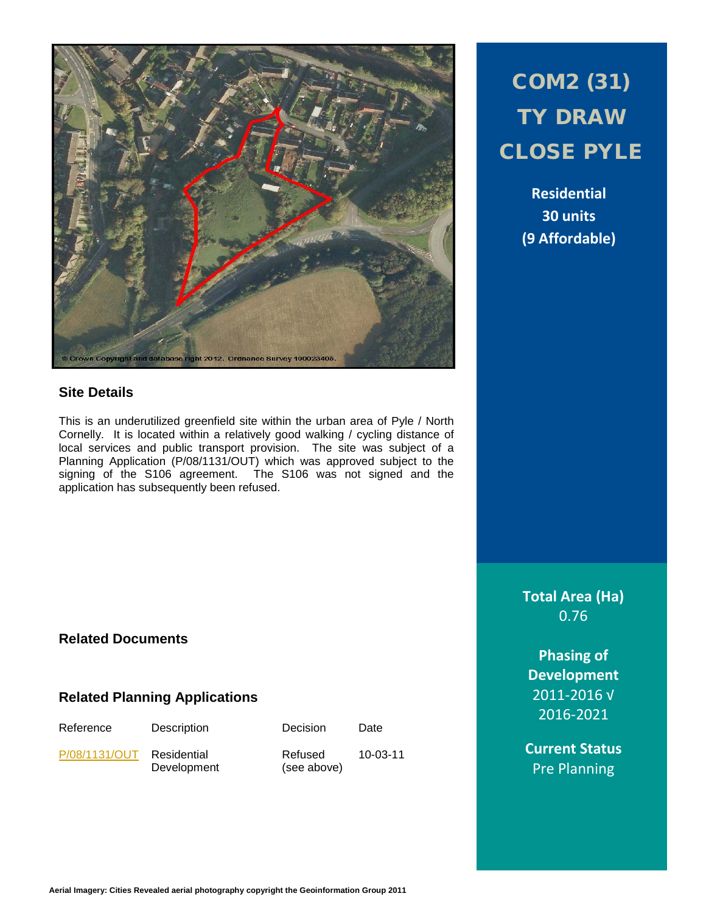

## **Site Details**

This is an underutilized greenfield site within the urban area of Pyle / North Cornelly. It is located within a relatively good walking / cycling distance of local services and public transport provision. The site was subject of a Planning Application (P/08/1131/OUT) which was approved subject to the signing of the S106 agreement. The S106 was not signed and the application has subsequently been refused.

# COM2 (31) TY DRAW CLOSE PYLE

**Residential 30 units (9 Affordable)**

**Total Area (Ha)** 0.76

**Phasing of Development** 2011-2016 √ 2016-2021

**Current Status** Pre Planning

# **Related Documents**

### **Related Planning Applications**

Reference Description Decision Date [P/08/1131/OUT](http://planpor.bridgend.gov.uk/OcellaWeb/planningDetails?reference=P/08/1131/OUT&from=planningSearch) Residential

Development

Refused (see above)

10-03-11